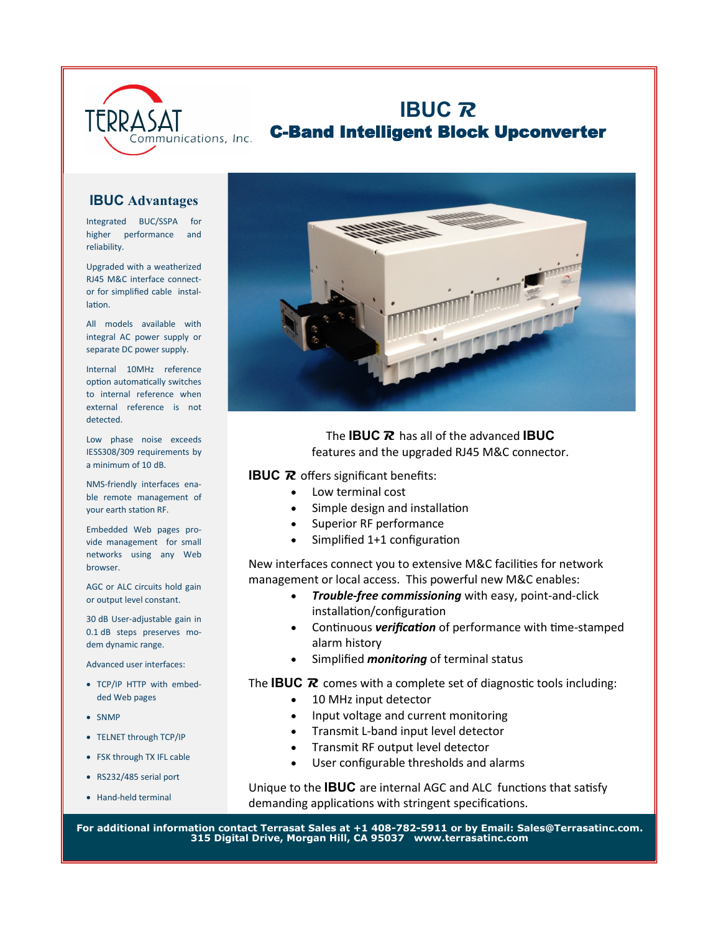

## **IBUC R** C-Band Intelligent Block Upconverter

## **IBUC Advantages**

Integrated BUC/SSPA for higher performance and reliability.

Upgraded with a weatherized RJ45 M&C interface connector for simplified cable installation.

All models available with integral AC power supply or separate DC power supply.

Internal 10MHz reference option automatically switches to internal reference when external reference is not detected.

Low phase noise exceeds IESS308/309 requirements by a minimum of 10 dB.

NMS-friendly interfaces enable remote management of your earth station RF.

Embedded Web pages provide management for small networks using any Web browser.

AGC or ALC circuits hold gain or output level constant.

30 dB User-adjustable gain in 0.1 dB steps preserves modem dynamic range.

Advanced user interfaces:

- TCP/IP HTTP with embedded Web pages
- SNMP
- TELNET through TCP/IP
- FSK through TX IFL cable
- RS232/485 serial port
- Hand-held terminal



The **IBUC R** has all of the advanced **IBUC** features and the upgraded RJ45 M&C connector.

## **IBUC R** offers significant benefits:

- Low terminal cost
- Simple design and installation
- Superior RF performance
- Simplified 1+1 configuration

New interfaces connect you to extensive M&C facilities for network management or local access. This powerful new M&C enables:

- *Trouble-free commissioning* with easy, point-and-click installation/configuration
- Continuous *verification* of performance with time-stamped alarm history
- Simplified *monitoring* of terminal status

The **IBUC R** comes with a complete set of diagnostic tools including:

- 10 MHz input detector
- Input voltage and current monitoring
- Transmit L-band input level detector
- Transmit RF output level detector
- User configurable thresholds and alarms

Unique to the **IBUC** are internal AGC and ALC functions that satisfy demanding applications with stringent specifications.

**For additional information contact Terrasat Sales at +1 408-782-5911 or by Email: Sales@Terrasatinc.com. 315 Digital Drive, Morgan Hill, CA 95037 www.terrasatinc.com**